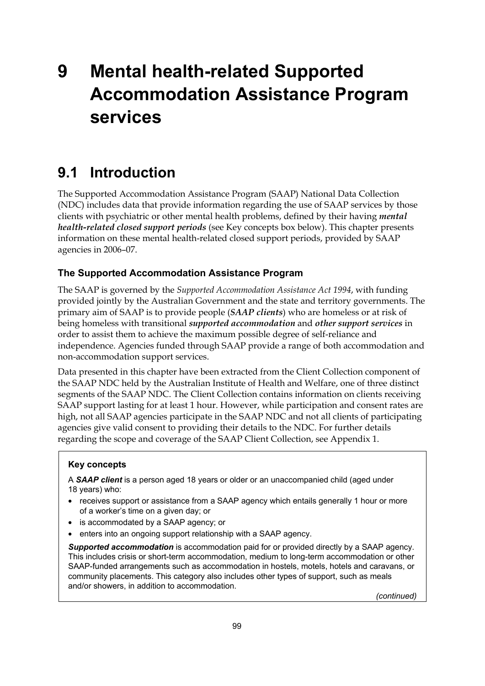# **9 Mental health-related Supported Accommodation Assistance Program services**

# **9.1 Introduction**

The Supported Accommodation Assistance Program (SAAP) National Data Collection (NDC) includes data that provide information regarding the use of SAAP services by those clients with psychiatric or other mental health problems, defined by their having *mental health-related closed support periods* (see Key concepts box below). This chapter presents information on these mental health-related closed support periods, provided by SAAP agencies in 2006–07.

#### **The Supported Accommodation Assistance Program**

The SAAP is governed by the *Supported Accommodation Assistance Act 1994*, with funding provided jointly by the Australian Government and the state and territory governments. The primary aim of SAAP is to provide people (*SAAP clients*) who are homeless or at risk of being homeless with transitional *supported accommodation* and *other support services* in order to assist them to achieve the maximum possible degree of self-reliance and independence. Agencies funded through SAAP provide a range of both accommodation and non-accommodation support services.

Data presented in this chapter have been extracted from the Client Collection component of the SAAP NDC held by the Australian Institute of Health and Welfare, one of three distinct segments of the SAAP NDC. The Client Collection contains information on clients receiving SAAP support lasting for at least 1 hour. However, while participation and consent rates are high, not all SAAP agencies participate in the SAAP NDC and not all clients of participating agencies give valid consent to providing their details to the NDC. For further details regarding the scope and coverage of the SAAP Client Collection, see Appendix 1.

#### **Key concepts**

A *SAAP client* is a person aged 18 years or older or an unaccompanied child (aged under 18 years) who:

- receives support or assistance from a SAAP agency which entails generally 1 hour or more of a worker's time on a given day; or
- is accommodated by a SAAP agency; or
- enters into an ongoing support relationship with a SAAP agency.

*Supported accommodation* is accommodation paid for or provided directly by a SAAP agency. This includes crisis or short-term accommodation, medium to long-term accommodation or other SAAP-funded arrangements such as accommodation in hostels, motels, hotels and caravans, or community placements. This category also includes other types of support, such as meals and/or showers, in addition to accommodation.

*(continued)*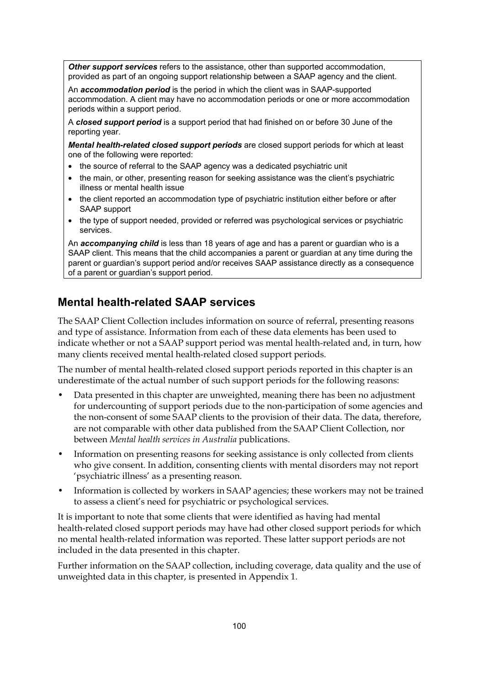*Other support services* refers to the assistance, other than supported accommodation, provided as part of an ongoing support relationship between a SAAP agency and the client.

An *accommodation period* is the period in which the client was in SAAP-supported accommodation. A client may have no accommodation periods or one or more accommodation periods within a support period.

A *closed support period* is a support period that had finished on or before 30 June of the reporting year.

*Mental health-related closed support periods* are closed support periods for which at least one of the following were reported:

- the source of referral to the SAAP agency was a dedicated psychiatric unit
- the main, or other, presenting reason for seeking assistance was the client's psychiatric illness or mental health issue
- the client reported an accommodation type of psychiatric institution either before or after SAAP support
- the type of support needed, provided or referred was psychological services or psychiatric services.

An *accompanying child* is less than 18 years of age and has a parent or guardian who is a SAAP client. This means that the child accompanies a parent or guardian at any time during the parent or guardian's support period and/or receives SAAP assistance directly as a consequence of a parent or guardian's support period.

### **Mental health-related SAAP services**

The SAAP Client Collection includes information on source of referral, presenting reasons and type of assistance. Information from each of these data elements has been used to indicate whether or not a SAAP support period was mental health-related and, in turn, how many clients received mental health-related closed support periods.

The number of mental health-related closed support periods reported in this chapter is an underestimate of the actual number of such support periods for the following reasons:

- Data presented in this chapter are unweighted, meaning there has been no adjustment for undercounting of support periods due to the non-participation of some agencies and the non-consent of some SAAP clients to the provision of their data. The data, therefore, are not comparable with other data published from the SAAP Client Collection, nor between *Mental health services in Australia* publications.
- Information on presenting reasons for seeking assistance is only collected from clients who give consent. In addition, consenting clients with mental disorders may not report 'psychiatric illness' as a presenting reason.
- Information is collected by workers in SAAP agencies; these workers may not be trained to assess a client's need for psychiatric or psychological services.

It is important to note that some clients that were identified as having had mental health-related closed support periods may have had other closed support periods for which no mental health-related information was reported. These latter support periods are not included in the data presented in this chapter.

Further information on the SAAP collection, including coverage, data quality and the use of unweighted data in this chapter, is presented in Appendix 1.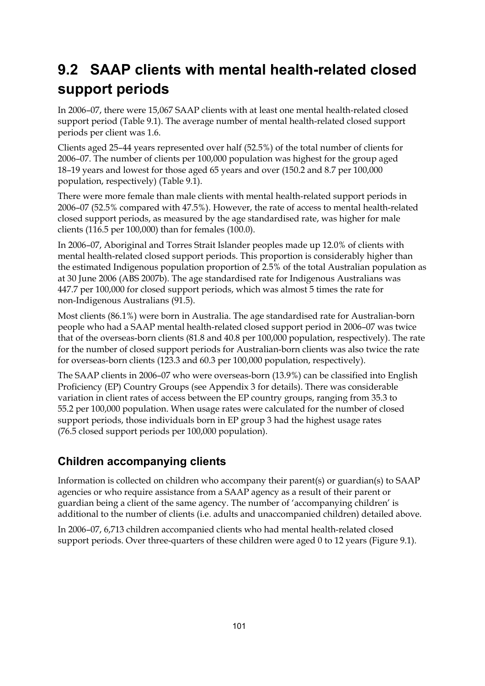# **9.2 SAAP clients with mental health-related closed support periods**

In 2006–07, there were 15,067 SAAP clients with at least one mental health-related closed support period (Table 9.1). The average number of mental health-related closed support periods per client was 1.6.

Clients aged 25–44 years represented over half (52.5%) of the total number of clients for 2006–07. The number of clients per 100,000 population was highest for the group aged 18–19 years and lowest for those aged 65 years and over (150.2 and 8.7 per 100,000 population, respectively) (Table 9.1).

There were more female than male clients with mental health-related support periods in 2006–07 (52.5% compared with 47.5%). However, the rate of access to mental health-related closed support periods, as measured by the age standardised rate, was higher for male clients (116.5 per 100,000) than for females (100.0).

In 2006–07, Aboriginal and Torres Strait Islander peoples made up 12.0% of clients with mental health-related closed support periods. This proportion is considerably higher than the estimated Indigenous population proportion of 2.5% of the total Australian population as at 30 June 2006 (ABS 2007b). The age standardised rate for Indigenous Australians was 447.7 per 100,000 for closed support periods, which was almost 5 times the rate for non-Indigenous Australians (91.5).

Most clients (86.1%) were born in Australia. The age standardised rate for Australian-born people who had a SAAP mental health-related closed support period in 2006–07 was twice that of the overseas-born clients (81.8 and 40.8 per 100,000 population, respectively). The rate for the number of closed support periods for Australian-born clients was also twice the rate for overseas-born clients (123.3 and 60.3 per 100,000 population, respectively).

The SAAP clients in 2006–07 who were overseas-born (13.9%) can be classified into English Proficiency (EP) Country Groups (see Appendix 3 for details). There was considerable variation in client rates of access between the EP country groups, ranging from 35.3 to 55.2 per 100,000 population. When usage rates were calculated for the number of closed support periods, those individuals born in EP group 3 had the highest usage rates (76.5 closed support periods per 100,000 population).

#### **Children accompanying clients**

Information is collected on children who accompany their parent(s) or guardian(s) to SAAP agencies or who require assistance from a SAAP agency as a result of their parent or guardian being a client of the same agency. The number of 'accompanying children' is additional to the number of clients (i.e. adults and unaccompanied children) detailed above.

In 2006–07, 6,713 children accompanied clients who had mental health-related closed support periods. Over three-quarters of these children were aged 0 to 12 years (Figure 9.1).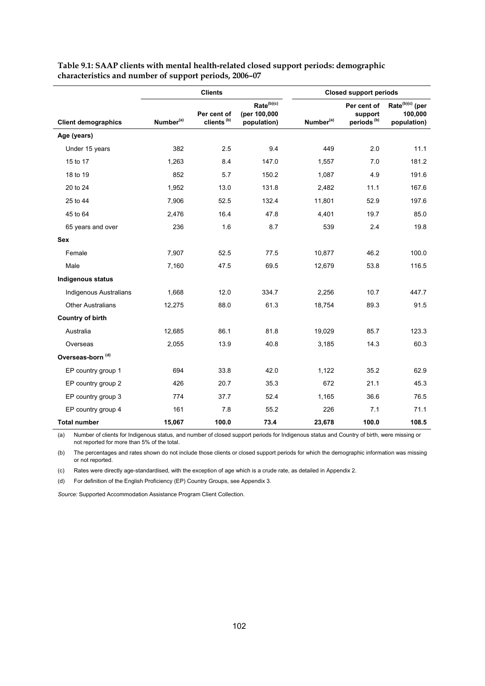|                               |                                                                | <b>Clients</b> |                                                       | <b>Closed support periods</b> |                                                  |                                                       |  |
|-------------------------------|----------------------------------------------------------------|----------------|-------------------------------------------------------|-------------------------------|--------------------------------------------------|-------------------------------------------------------|--|
| <b>Client demographics</b>    | Per cent of<br>clients <sup>(b)</sup><br>Number <sup>(a)</sup> |                | Rate <sup>(b)(c)</sup><br>(per 100,000<br>population) | Number <sup>(a)</sup>         | Per cent of<br>support<br>periods <sup>(b)</sup> | Rate <sup>(b)(c)</sup> (per<br>100,000<br>population) |  |
| Age (years)                   |                                                                |                |                                                       |                               |                                                  |                                                       |  |
| Under 15 years                | 382                                                            | 2.5            | 9.4                                                   | 449                           | 2.0                                              | 11.1                                                  |  |
| 15 to 17                      | 1.263                                                          | 8.4            | 147.0                                                 | 1,557                         | 7.0                                              | 181.2                                                 |  |
| 18 to 19                      | 852                                                            | 5.7            | 150.2                                                 | 1,087                         | 4.9                                              | 191.6                                                 |  |
| 20 to 24                      | 1,952                                                          | 13.0           | 131.8                                                 | 2,482                         | 11.1                                             | 167.6                                                 |  |
| 25 to 44                      | 7,906                                                          | 52.5           | 132.4                                                 | 11,801                        | 52.9                                             | 197.6                                                 |  |
| 45 to 64                      | 2,476                                                          | 16.4           | 47.8                                                  | 4,401                         | 19.7                                             | 85.0                                                  |  |
| 65 years and over             | 236                                                            | 1.6            | 8.7                                                   | 539                           | 2.4                                              | 19.8                                                  |  |
| Sex                           |                                                                |                |                                                       |                               |                                                  |                                                       |  |
| Female                        | 7,907                                                          | 52.5           | 77.5                                                  | 10,877                        | 46.2                                             | 100.0                                                 |  |
| Male                          | 7,160                                                          | 47.5           | 69.5                                                  | 12,679                        | 53.8                                             | 116.5                                                 |  |
| <b>Indigenous status</b>      |                                                                |                |                                                       |                               |                                                  |                                                       |  |
| <b>Indigenous Australians</b> | 1,668                                                          | 12.0           | 334.7                                                 | 2,256                         | 10.7                                             | 447.7                                                 |  |
| <b>Other Australians</b>      | 12,275                                                         | 88.0           | 61.3                                                  | 18,754                        | 89.3                                             | 91.5                                                  |  |
| <b>Country of birth</b>       |                                                                |                |                                                       |                               |                                                  |                                                       |  |
| Australia                     | 12,685                                                         | 86.1           | 81.8                                                  | 19,029                        | 85.7                                             | 123.3                                                 |  |
| Overseas                      | 2,055                                                          | 13.9           | 40.8                                                  | 3,185                         | 14.3                                             | 60.3                                                  |  |
| Overseas-born <sup>(d)</sup>  |                                                                |                |                                                       |                               |                                                  |                                                       |  |
| EP country group 1            | 694                                                            | 33.8           | 42.0                                                  | 1,122                         | 35.2                                             | 62.9                                                  |  |
| EP country group 2            | 426                                                            | 20.7           | 35.3                                                  | 672                           | 21.1                                             | 45.3                                                  |  |
| EP country group 3            | 774                                                            | 37.7           | 52.4                                                  | 1,165                         | 36.6                                             | 76.5                                                  |  |
| EP country group 4            | 161                                                            | 7.8            | 55.2                                                  | 226                           | 7.1                                              | 71.1                                                  |  |
| <b>Total number</b>           | 15,067                                                         | 100.0          | 73.4                                                  | 23,678                        | 100.0                                            | 108.5                                                 |  |

**Table 9.1: SAAP clients with mental health-related closed support periods: demographic characteristics and number of support periods, 2006–07**

(a) Number of clients for Indigenous status, and number of closed support periods for Indigenous status and Country of birth, were missing or not reported for more than 5% of the total.

(b) The percentages and rates shown do not include those clients or closed support periods for which the demographic information was missing or not reported.

(c) Rates were directly age-standardised, with the exception of age which is a crude rate, as detailed in Appendix 2.

(d) For definition of the English Proficiency (EP) Country Groups, see Appendix 3.

*Source:* Supported Accommodation Assistance Program Client Collection.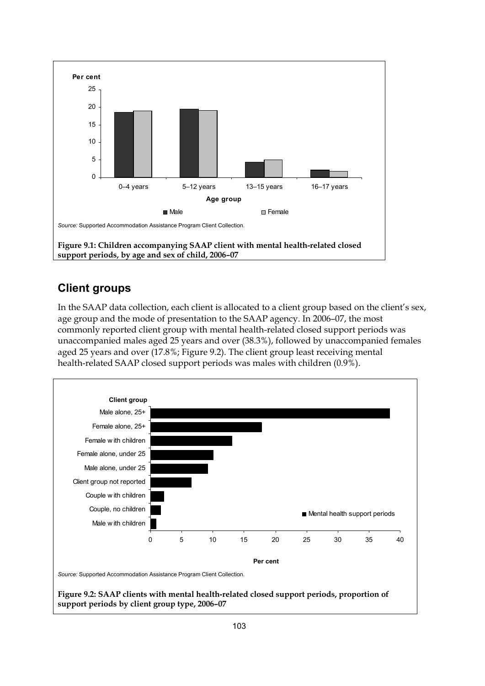

#### **Client groups**

In the SAAP data collection, each client is allocated to a client group based on the client's sex, age group and the mode of presentation to the SAAP agency. In 2006–07, the most commonly reported client group with mental health-related closed support periods was unaccompanied males aged 25 years and over (38.3%), followed by unaccompanied females aged 25 years and over (17.8%; Figure 9.2). The client group least receiving mental health-related SAAP closed support periods was males with children (0.9%).



**Figure 9.2: SAAP clients with mental health-related closed support periods, proportion of support periods by client group type, 2006–07**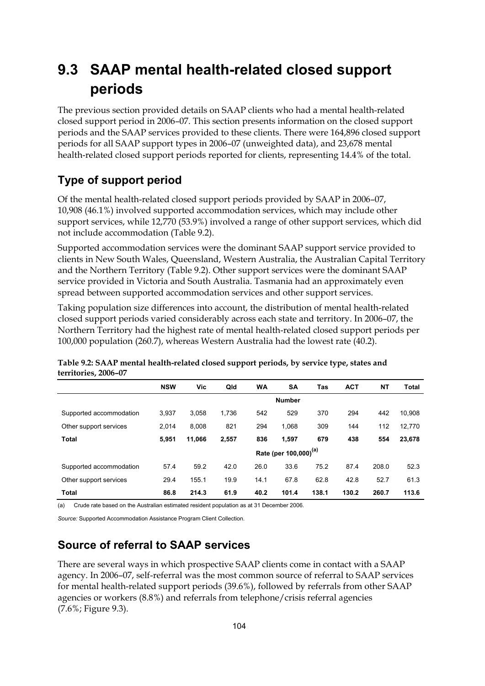# **9.3 SAAP mental health-related closed support periods**

The previous section provided details on SAAP clients who had a mental health-related closed support period in 2006–07. This section presents information on the closed support periods and the SAAP services provided to these clients. There were 164,896 closed support periods for all SAAP support types in 2006–07 (unweighted data), and 23,678 mental health-related closed support periods reported for clients, representing 14.4% of the total.

## **Type of support period**

Of the mental health-related closed support periods provided by SAAP in 2006–07, 10,908 (46.1%) involved supported accommodation services, which may include other support services, while 12,770 (53.9%) involved a range of other support services, which did not include accommodation (Table 9.2).

Supported accommodation services were the dominant SAAP support service provided to clients in New South Wales, Queensland, Western Australia, the Australian Capital Territory and the Northern Territory (Table 9.2). Other support services were the dominant SAAP service provided in Victoria and South Australia. Tasmania had an approximately even spread between supported accommodation services and other support services.

Taking population size differences into account, the distribution of mental health-related closed support periods varied considerably across each state and territory. In 2006–07, the Northern Territory had the highest rate of mental health-related closed support periods per 100,000 population (260.7), whereas Western Australia had the lowest rate (40.2).

|                         | <b>NSW</b>                        | Vic    | Qld   | <b>WA</b> | <b>SA</b>     | Tas   | <b>ACT</b> | NΤ    | <b>Total</b> |
|-------------------------|-----------------------------------|--------|-------|-----------|---------------|-------|------------|-------|--------------|
|                         |                                   |        |       |           | <b>Number</b> |       |            |       |              |
| Supported accommodation | 3.937                             | 3.058  | 1.736 | 542       | 529           | 370   | 294        | 442   | 10.908       |
| Other support services  | 2.014                             | 8.008  | 821   | 294       | 1.068         | 309   | 144        | 112   | 12,770       |
| <b>Total</b>            | 5.951                             | 11,066 | 2,557 | 836       | 1,597         | 679   | 438        | 554   | 23,678       |
|                         | Rate (per 100,000) <sup>(a)</sup> |        |       |           |               |       |            |       |              |
| Supported accommodation | 57.4                              | 59.2   | 42.0  | 26.0      | 33.6          | 75.2  | 87.4       | 208.0 | 52.3         |
| Other support services  | 29.4                              | 155.1  | 19.9  | 14.1      | 67.8          | 62.8  | 42.8       | 52.7  | 61.3         |
| <b>Total</b>            | 86.8                              | 214.3  | 61.9  | 40.2      | 101.4         | 138.1 | 130.2      | 260.7 | 113.6        |

**Table 9.2: SAAP mental health-related closed support periods, by service type, states and territories, 2006–07**

(a) Crude rate based on the Australian estimated resident population as at 31 December 2006.

*Source:* Supported Accommodation Assistance Program Client Collection.

### **Source of referral to SAAP services**

There are several ways in which prospective SAAP clients come in contact with a SAAP agency. In 2006–07, self-referral was the most common source of referral to SAAP services for mental health-related support periods (39.6%), followed by referrals from other SAAP agencies or workers (8.8%) and referrals from telephone/crisis referral agencies (7.6%; Figure 9.3).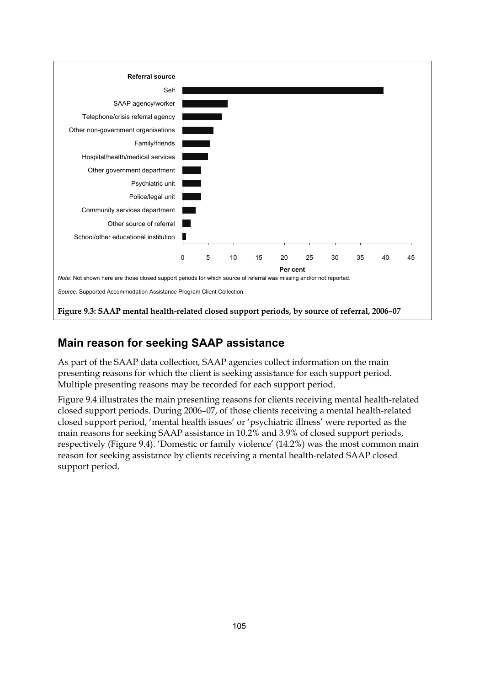

### **Main reason for seeking SAAP assistance**

As part of the SAAP data collection, SAAP agencies collect information on the main presenting reasons for which the client is seeking assistance for each support period. Multiple presenting reasons may be recorded for each support period.

Figure 9.4 illustrates the main presenting reasons for clients receiving mental health-related closed support periods. During 2006–07, of those clients receiving a mental health-related closed support period, 'mental health issues' or 'psychiatric illness' were reported as the main reasons for seeking SAAP assistance in 10.2% and 3.9% of closed support periods, respectively (Figure 9.4). 'Domestic or family violence' (14.2%) was the most common main reason for seeking assistance by clients receiving a mental health-related SAAP closed support period.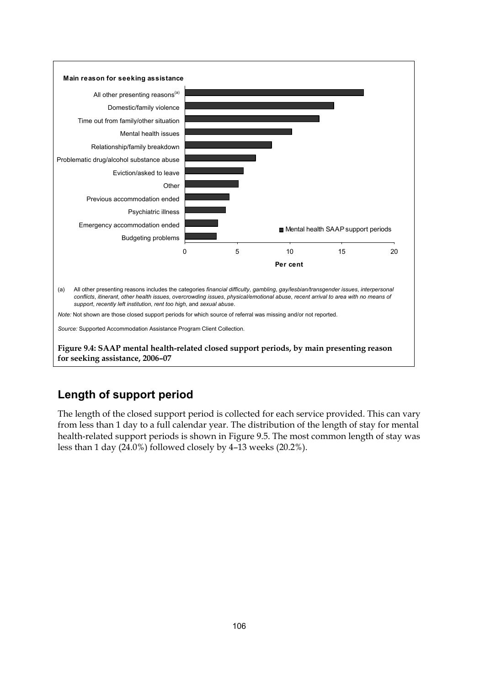

#### **Length of support period**

The length of the closed support period is collected for each service provided. This can vary from less than 1 day to a full calendar year. The distribution of the length of stay for mental health-related support periods is shown in Figure 9.5. The most common length of stay was less than 1 day (24.0%) followed closely by 4–13 weeks (20.2%).